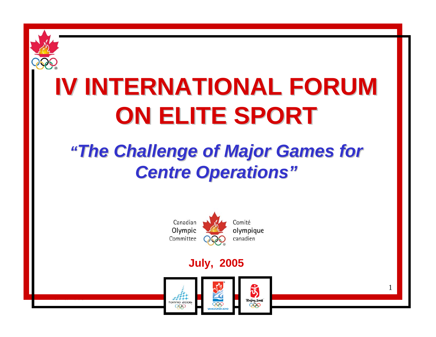

# **IV INTERNATIONAL FORUM ON ELITE SPORT ON ELITE SPORT**

#### *"The Challenge of Major Games for The Challenge of Major Games for Centre Operations" Centre Operations"*



#### **July, 2005**



1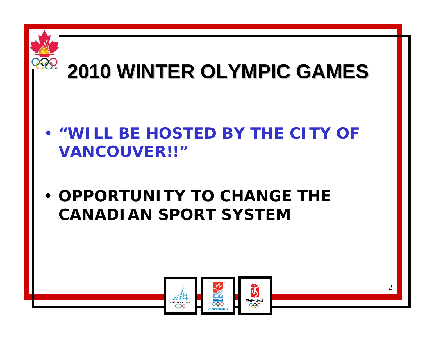

#### • **"WILL BE HOSTED BY THE CITY OF VANCOUVER!!"**

• **OPPORTUNITY TO CHANGE THE CANADIAN SPORT SYSTEM**

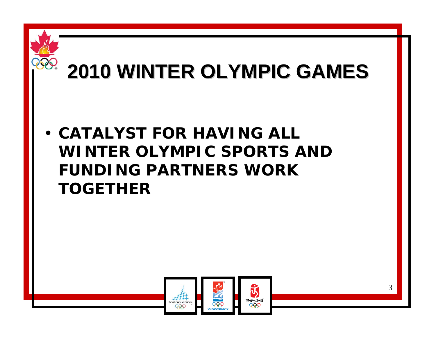

#### • **CATALYST FOR HAVING ALL WINTER OLYMPIC SPORTS AND FUNDING PARTNERS WORK TOGETHER**

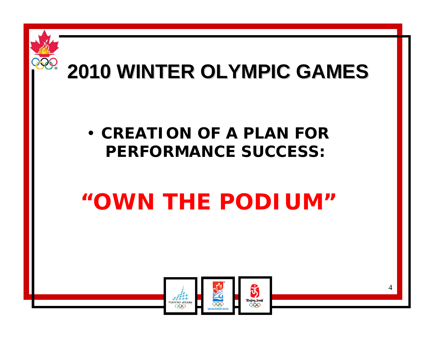

#### • **CREATION OF A PLAN FOR PERFORMANCE SUCCESS:**

## *"OWN THE PODIUM"*

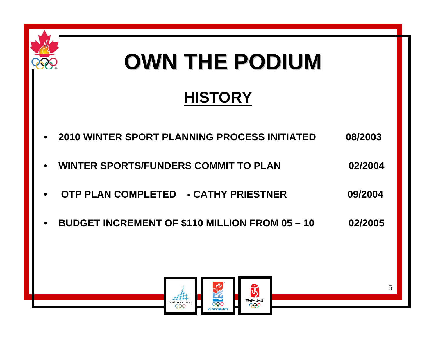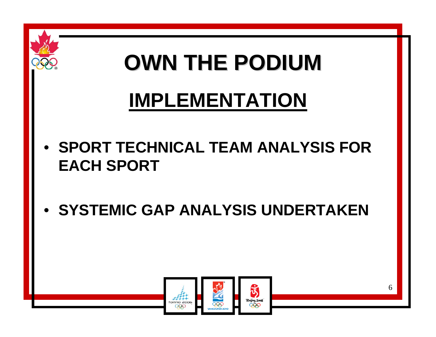

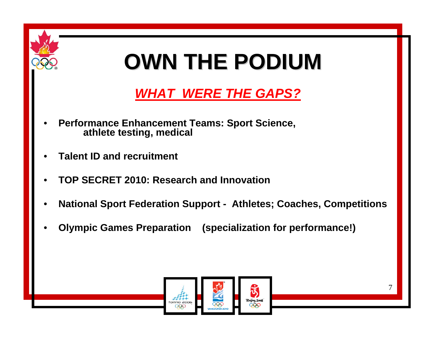

#### *WHAT WERE THE GAPS?*

- *•* **Performance Enhancement Teams: Sport Science, athlete testing, medical**
- *•***Talent ID and recruitment**
- *•***TOP SECRET 2010: Research and Innovation**
- *•***National Sport Federation Support - Athletes; Coaches, Competitions**
- *•***Olympic Games Preparation (specialization for performance!)**

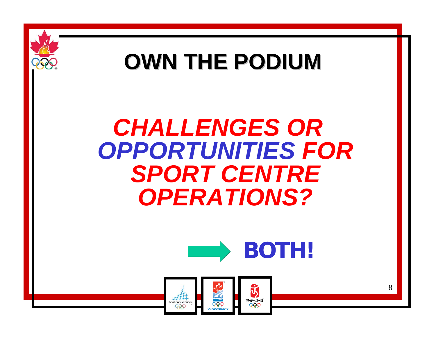

### *CHALLENGES OR OPPORTUNITIES FOR SPORT CENTRE OPERATIONS?*



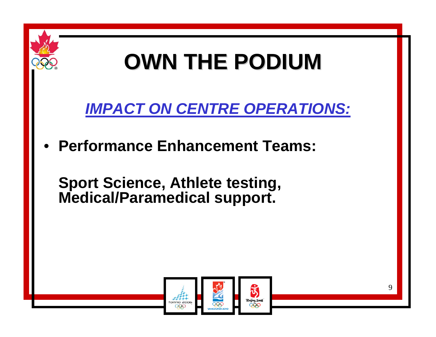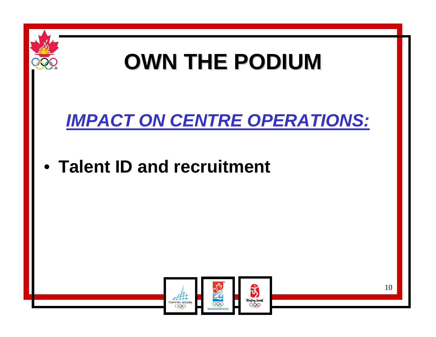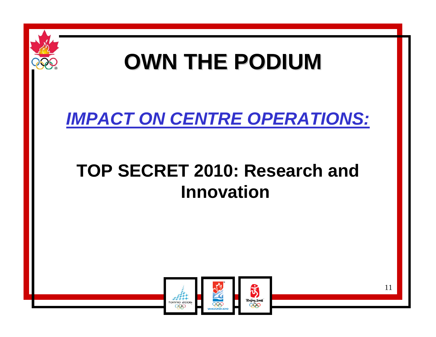

#### *IMPACT ON CENTRE OPERATIONS:*

#### **TOP SECRET 2010: Research and Innovation**

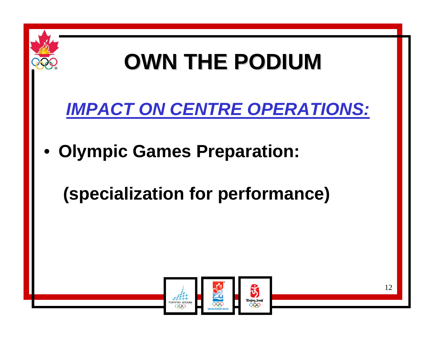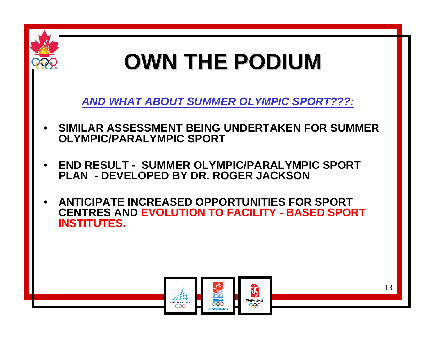

*AND WHAT ABOUT SUMMER OLYMPIC SPORT???:*

- *•* **SIMILAR ASSESSMENT BEING UNDERTAKEN FOR SUMMER OLYMPIC/PARALYMPIC SPORT**
- *•* **END RESULT - SUMMER OLYMPIC/PARALYMPIC SPORT PLAN - DEVELOPED BY DR. ROGER JACKSON**
- *•* **ANTICIPATE INCREASED OPPORTUNITIES FOR SPORT CENTRES AND EVOLUTION TO FACILITY - BASED SPORT INSTITUTES.**

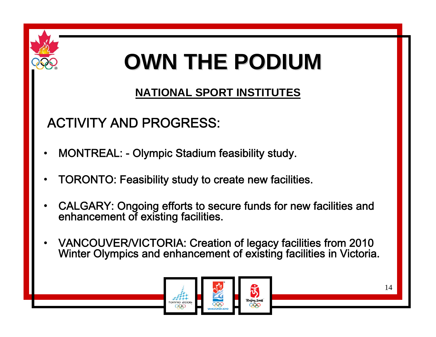

#### **NATIONAL SPORT INSTITUTES**

#### ACTIVITY AND PROGRESS:

- •MONTREAL: - Olympic Stadium feasibility study.
- •TORONTO: Feasibility study to create new facilities.
- •CALGARY: Ongoing efforts to secure funds for new facilities and enhancement of existing facilities.
- •VANCOUVER/VICTORIA: Creation of legacy facilities from 2010 Winter Olympics and enhancement of existing facilities in Victoria.